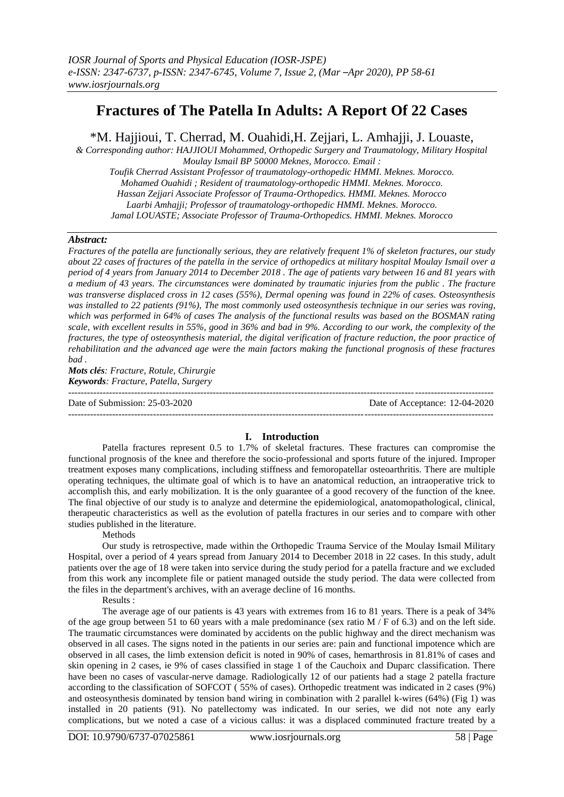# **Fractures of The Patella In Adults: A Report Of 22 Cases**

\*M. Hajjioui, T. Cherrad, M. Ouahidi,H. Zejjari, L. Amhajji, J. Louaste,

*& Corresponding author: HAJJIOUI Mohammed, Orthopedic Surgery and Traumatology, Military Hospital Moulay Ismail BP 50000 Meknes, Morocco. Email : Toufik Cherrad Assistant Professor of traumatology-orthopedic HMMI. Meknes. Morocco. Mohamed Ouahidi ; Resident of traumatology-orthopedic HMMI. Meknes. Morocco. Hassan Zejjari Associate Professor of Trauma-Orthopedics. HMMI. Meknes. Morocco*

*Laarbi Amhajji; Professor of traumatology-orthopedic HMMI. Meknes. Morocco. Jamal LOUASTE; Associate Professor of Trauma-Orthopedics. HMMI. Meknes. Morocco*

#### *Abstract:*

*Fractures of the patella are functionally serious, they are relatively frequent 1% of skeleton fractures, our study about 22 cases of fractures of the patella in the service of orthopedics at military hospital Moulay Ismail over a period of 4 years from January 2014 to December 2018 . The age of patients vary between 16 and 81 years with a medium of 43 years. The circumstances were dominated by traumatic injuries from the public . The fracture was transverse displaced cross in 12 cases (55%), Dermal opening was found in 22% of cases. Osteosynthesis was installed to 22 patients (91%), The most commonly used osteosynthesis technique in our series was roving, which was performed in 64% of cases The analysis of the functional results was based on the BOSMAN rating scale, with excellent results in 55%, good in 36% and bad in 9%. According to our work, the complexity of the fractures, the type of osteosynthesis material, the digital verification of fracture reduction, the poor practice of rehabilitation and the advanced age were the main factors making the functional prognosis of these fractures bad .*

*Mots clés: Fracture, Rotule, Chirurgie Keywords: Fracture, Patella, Surgery*

 $-1\leq i\leq n-1\leq n-1\leq n-1\leq n-1\leq n-1\leq n-1\leq n-1\leq n-1\leq n-1\leq n-1\leq n-1\leq n-1\leq n-1\leq n-1\leq n-1\leq n-1\leq n-1\leq n-1\leq n-1\leq n-1\leq n-1\leq n-1\leq n-1\leq n-1\leq n-1\leq n-1\leq n-1\leq n-1\leq n-1\leq n-1\leq n-1\leq n-1\leq n-1\leq n-1\leq n-1\leq n$ Date of Submission: 25-03-2020 Date of Acceptance: 12-04-2020 ---------------------------------------------------------------------------------------------------------------------------------------

## **I. Introduction**

Patella fractures represent 0.5 to 1.7% of skeletal fractures. These fractures can compromise the functional prognosis of the knee and therefore the socio-professional and sports future of the injured. Improper treatment exposes many complications, including stiffness and femoropatellar osteoarthritis. There are multiple operating techniques, the ultimate goal of which is to have an anatomical reduction, an intraoperative trick to accomplish this, and early mobilization. It is the only guarantee of a good recovery of the function of the knee. The final objective of our study is to analyze and determine the epidemiological, anatomopathological, clinical, therapeutic characteristics as well as the evolution of patella fractures in our series and to compare with other studies published in the literature.

**Methods** 

Our study is retrospective, made within the Orthopedic Trauma Service of the Moulay Ismail Military Hospital, over a period of 4 years spread from January 2014 to December 2018 in 22 cases. In this study, adult patients over the age of 18 were taken into service during the study period for a patella fracture and we excluded from this work any incomplete file or patient managed outside the study period. The data were collected from the files in the department's archives, with an average decline of 16 months.

Results :

The average age of our patients is 43 years with extremes from 16 to 81 years. There is a peak of 34% of the age group between 51 to 60 years with a male predominance (sex ratio  $M / F$  of 6.3) and on the left side. The traumatic circumstances were dominated by accidents on the public highway and the direct mechanism was observed in all cases. The signs noted in the patients in our series are: pain and functional impotence which are observed in all cases, the limb extension deficit is noted in 90% of cases, hemarthrosis in 81.81% of cases and skin opening in 2 cases, ie 9% of cases classified in stage 1 of the Cauchoix and Duparc classification. There have been no cases of vascular-nerve damage. Radiologically 12 of our patients had a stage 2 patella fracture according to the classification of SOFCOT ( 55% of cases). Orthopedic treatment was indicated in 2 cases (9%) and osteosynthesis dominated by tension band wiring in combination with 2 parallel k-wires (64%) (Fig 1) was installed in 20 patients (91). No patellectomy was indicated. In our series, we did not note any early complications, but we noted a case of a vicious callus: it was a displaced comminuted fracture treated by a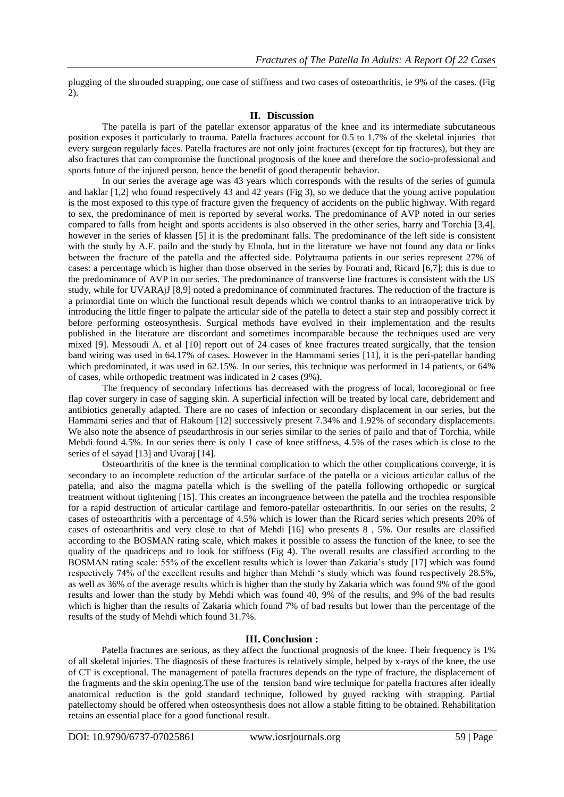plugging of the shrouded strapping, one case of stiffness and two cases of osteoarthritis, ie 9% of the cases. (Fig 2).

#### **II. Discussion**

The patella is part of the patellar extensor apparatus of the knee and its intermediate subcutaneous position exposes it particularly to trauma. Patella fractures account for 0.5 to 1.7% of the skeletal injuries that every surgeon regularly faces. Patella fractures are not only joint fractures (except for tip fractures), but they are also fractures that can compromise the functional prognosis of the knee and therefore the socio-professional and sports future of the injured person, hence the benefit of good therapeutic behavior.

In our series the average age was 43 years which corresponds with the results of the series of gumula and haklar [1,2] who found respectively 43 and 42 years (Fig 3), so we deduce that the young active population is the most exposed to this type of fracture given the frequency of accidents on the public highway. With regard to sex, the predominance of men is reported by several works. The predominance of AVP noted in our series compared to falls from height and sports accidents is also observed in the other series, harry and Torchia [3,4], however in the series of klassen [5] it is the predominant falls. The predominance of the left side is consistent with the study by A.F. pailo and the study by Elnola, but in the literature we have not found any data or links between the fracture of the patella and the affected side. Polytrauma patients in our series represent 27% of cases: a percentage which is higher than those observed in the series by Fourati and, Ricard [6,7]; this is due to the predominance of AVP in our series. The predominance of transverse line fractures is consistent with the US study, while for UVARAjJ [8,9] noted a predominance of comminuted fractures. The reduction of the fracture is a primordial time on which the functional result depends which we control thanks to an intraoperative trick by introducing the little finger to palpate the articular side of the patella to detect a stair step and possibly correct it before performing osteosynthesis. Surgical methods have evolved in their implementation and the results published in the literature are discordant and sometimes incomparable because the techniques used are very mixed [9]. Messoudi A. et al [10] report out of 24 cases of knee fractures treated surgically, that the tension band wiring was used in 64.17% of cases. However in the Hammami series [11], it is the peri-patellar banding which predominated, it was used in 62.15%. In our series, this technique was performed in 14 patients, or 64% of cases, while orthopedic treatment was indicated in 2 cases (9%).

The frequency of secondary infections has decreased with the progress of local, locoregional or free flap cover surgery in case of sagging skin. A superficial infection will be treated by local care, debridement and antibiotics generally adapted. There are no cases of infection or secondary displacement in our series, but the Hammami series and that of Hakoum [12] successively present 7.34% and 1.92% of secondary displacements. We also note the absence of pseudarthrosis in our series similar to the series of pailo and that of Torchia, while Mehdi found 4.5%. In our series there is only 1 case of knee stiffness, 4.5% of the cases which is close to the series of el sayad [13] and Uvaraj [14].

Osteoarthritis of the knee is the terminal complication to which the other complications converge, it is secondary to an incomplete reduction of the articular surface of the patella or a vicious articular callus of the patella, and also the magma patella which is the swelling of the patella following orthopedic or surgical treatment without tightening [15]. This creates an incongruence between the patella and the trochlea responsible for a rapid destruction of articular cartilage and femoro-patellar osteoarthritis. In our series on the results, 2 cases of osteoarthritis with a percentage of 4.5% which is lower than the Ricard series which presents 20% of cases of osteoarthritis and very close to that of Mehdi [16] who presents 8 , 5%. Our results are classified according to the BOSMAN rating scale, which makes it possible to assess the function of the knee, to see the quality of the quadriceps and to look for stiffness (Fig 4). The overall results are classified according to the BOSMAN rating scale: 55% of the excellent results which is lower than Zakaria's study [17] which was found respectively 74% of the excellent results and higher than Mehdi 's study which was found respectively 28.5%, as well as 36% of the average results which is higher than the study by Zakaria which was found 9% of the good results and lower than the study by Mehdi which was found 40, 9% of the results, and 9% of the bad results which is higher than the results of Zakaria which found 7% of bad results but lower than the percentage of the results of the study of Mehdi which found 31.7%.

## **III. Conclusion :**

Patella fractures are serious, as they affect the functional prognosis of the knee. Their frequency is 1% of all skeletal injuries. The diagnosis of these fractures is relatively simple, helped by x-rays of the knee, the use of CT is exceptional. The management of patella fractures depends on the type of fracture, the displacement of the fragments and the skin opening.The use of the tension band wire technique for patella fractures after ideally anatomical reduction is the gold standard technique, followed by guyed racking with strapping. Partial patellectomy should be offered when osteosynthesis does not allow a stable fitting to be obtained. Rehabilitation retains an essential place for a good functional result.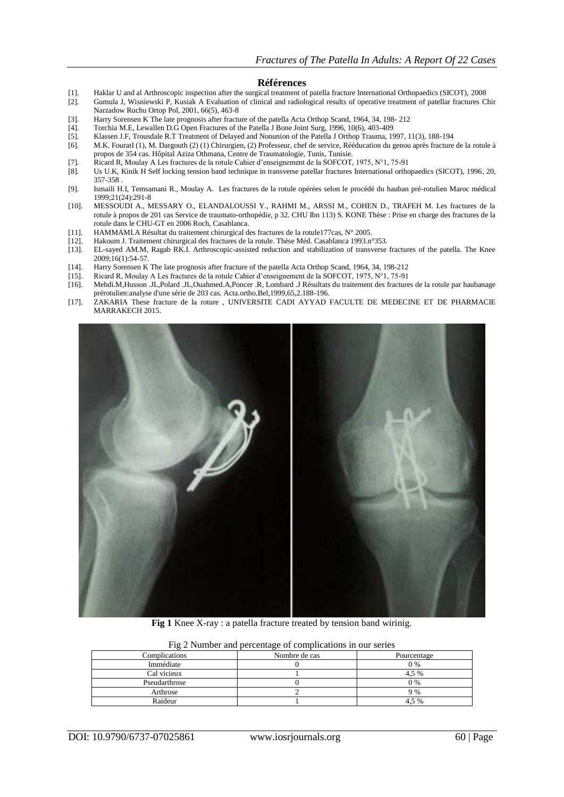#### **Références**

- [1]. Haklar U and al Arthroscopic inspection after the surgical treatment of patella fracture International Orthopaedics (SICOT), 2008
- [2]. Gumula J, Wisniewski P, Kusiak A Evaluation of clinical and radiological results of operative treatment of patellar fractures Chir Narzadow Ruchu Ortop Pol, 2001, 66(5), 463-8
- [3]. Harry Sorensen K The late prognosis after fracture of the patella Acta Orthop Scand, 1964, 34, 198- 212
- [4]. Torchia M.E, Lewallen D.G Open Fractures of the Patella J Bone Joint Surg, 1996, 10(6), 403-409
- [5]. Klassen J.F, Trousdale R.T Treatment of Delayed and Nonunion of the Patella J Orthop Trauma, 1997, 11(3), 188-194
- [6]. M.K. FouratI (1), M. Dargouth (2) (1) Chirurgien, (2) Professeur, chef de service, Rééducation du genou après fracture de la rotule à propos de 354 cas. Hôpital Aziza Othmana, Centre de Traumatologie, Tunis, Tunisie.
- [7]. Ricard R, Moulay A Les fractures de la rotule Cahier d'enseignement de la SOFCOT, 1975, N°1, 75-91
- [8]. Us U.K, Kinik H Self locking tension band technique in transverse patellar fractures International orthopaedics (SICOT), 1996, 20, 357-358 .
- [9]. Ismaili H.I, Temsamani R., Moulay A. Les fractures de la rotule opérées selon le procédé du hauban pré-rotulien Maroc médical 1999;21(24):291-8
- [10]. MESSOUDI A., MESSARY O., ELANDALOUSSI Y., RAHMI M., ARSSI M., COHEN D., TRAFEH M. Les fractures de la rotule à propos de 201 cas Service de traumato-orthopédie, p 32. CHU Ibn 113) S. KONE Thèse : Prise en charge des fractures de la rotule dans le CHU-GT en 2006 Roch, Casablanca.
- [11]. HAMMAMI.A Résultat du traitement chirurgical des fractures de la rotule177cas, N° 2005.
- [12]. Hakoum J. Traitement chirurgical des fractures de la rotule. Thèse Méd. Casablanca 1993.n°353.
- [13]. EL-sayed AM.M, Ragab RK.I. Arthroscopic-assisted reduction and stabilization of transverse fractures of the patella. The Knee 2009;16(1):54-57.
- [14]. Harry Sorensen K The late prognosis after fracture of the patella Acta Orthop Scand, 1964, 34, 198-212 [15]. Ricard R. Moulav A Les fractures de la rotule Cahier d'enseignement de la SOFCOT. 1975. N°1. 75-91
- [15]. Ricard R, Moulay A Les fractures de la rotule Cahier d'enseignement de la SOFCOT, 1975, N°1, 75-91
- [16]. Mehdi.M,Husson .JL,Polard .JL,Ouahmed.A,Poncer .R, Lombard .J Résultats du traitement des fractures de la rotule par haubanage prérotulien:analyse d'une série de 203 cas. Acta.ortho.Bel,1999,65,2.188-196.
- [17]. ZAKARIA These fracture de la roture , UNIVERSITE CADI AYYAD FACULTE DE MEDECINE ET DE PHARMACIE MARRAKECH 2015.



**Fig 1** Knee X-ray : a patella fracture treated by tension band wirinig.

| The 2 issues and percentage of complications in our series |               |             |  |  |
|------------------------------------------------------------|---------------|-------------|--|--|
| Complications                                              | Nombre de cas | Pourcentage |  |  |
| Immédiate                                                  |               | $0\%$       |  |  |
| Cal vicieux                                                |               | 4.5 %       |  |  |
| Pseudarthrose                                              |               | $0\%$       |  |  |
| Arthrose                                                   |               | 9%          |  |  |
| Raideur                                                    |               | 4.5 %       |  |  |

Fig 2 Number and percentage of complications in our series